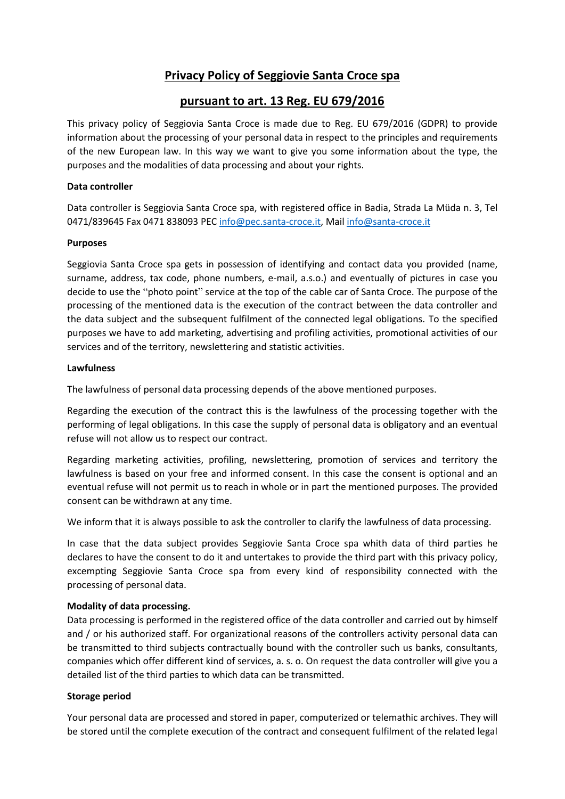# **Privacy Policy of Seggiovie Santa Croce spa**

# **pursuant to art. 13 Reg. EU 679/2016**

This privacy policy of Seggiovia Santa Croce is made due to Reg. EU 679/2016 (GDPR) to provide information about the processing of your personal data in respect to the principles and requirements of the new European law. In this way we want to give you some information about the type, the purposes and the modalities of data processing and about your rights.

#### **Data controller**

Data controller is Seggiovia Santa Croce spa, with registered office in Badia, Strada La Müda n. 3, Tel 0471/839645 Fax 0471 838093 PEC [info@pec.santa-croce.it,](mailto:info@pec.santa-croce.it) Mai[l info@santa-croce.it](mailto:info@santa-croce.it)

#### **Purposes**

Seggiovia Santa Croce spa gets in possession of identifying and contact data you provided (name, surname, address, tax code, phone numbers, e-mail, a.s.o.) and eventually of pictures in case you decide to use the "photo point" service at the top of the cable car of Santa Croce. The purpose of the processing of the mentioned data is the execution of the contract between the data controller and the data subject and the subsequent fulfilment of the connected legal obligations. To the specified purposes we have to add marketing, advertising and profiling activities, promotional activities of our services and of the territory, newslettering and statistic activities.

#### **Lawfulness**

The lawfulness of personal data processing depends of the above mentioned purposes.

Regarding the execution of the contract this is the lawfulness of the processing together with the performing of legal obligations. In this case the supply of personal data is obligatory and an eventual refuse will not allow us to respect our contract.

Regarding marketing activities, profiling, newslettering, promotion of services and territory the lawfulness is based on your free and informed consent. In this case the consent is optional and an eventual refuse will not permit us to reach in whole or in part the mentioned purposes. The provided consent can be withdrawn at any time.

We inform that it is always possible to ask the controller to clarify the lawfulness of data processing.

In case that the data subject provides Seggiovie Santa Croce spa whith data of third parties he declares to have the consent to do it and untertakes to provide the third part with this privacy policy, excempting Seggiovie Santa Croce spa from every kind of responsibility connected with the processing of personal data.

## **Modality of data processing.**

Data processing is performed in the registered office of the data controller and carried out by himself and / or his authorized staff. For organizational reasons of the controllers activity personal data can be transmitted to third subjects contractually bound with the controller such us banks, consultants, companies which offer different kind of services, a. s. o. On request the data controller will give you a detailed list of the third parties to which data can be transmitted.

## **Storage period**

Your personal data are processed and stored in paper, computerized or telemathic archives. They will be stored until the complete execution of the contract and consequent fulfilment of the related legal